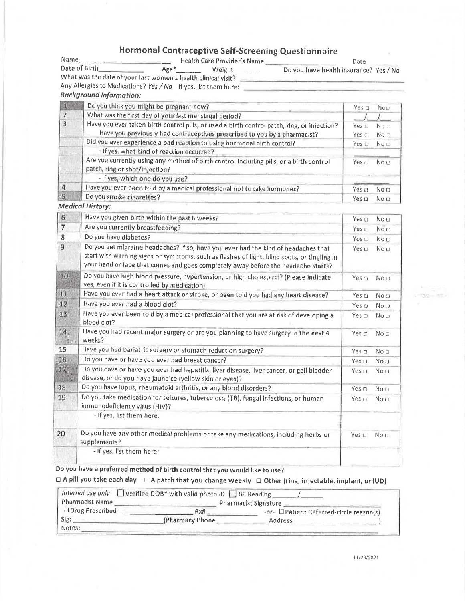### Hormonal Contraceptive Self-Screening Questionnaire

| Name                                                            |      | Health Care Provider's Name | Date                                   |
|-----------------------------------------------------------------|------|-----------------------------|----------------------------------------|
| Date of Birth-                                                  | Age* | Weight                      | Do you have health insurance? Yes / No |
| What was the date of your last women's health clinical visit?   |      |                             |                                        |
| Any Allergies to Medications? Yes / No. If yes, list them here: |      |                             |                                        |

### **Background Information:**

|                | Do you think you might be pregnant now?                                                                                                                                  | Yes D                          | $N$ o $\Box$                       |
|----------------|--------------------------------------------------------------------------------------------------------------------------------------------------------------------------|--------------------------------|------------------------------------|
| $\overline{2}$ | What was the first day of your last menstrual period?                                                                                                                    |                                |                                    |
|                | Have you ever taken birth control pills, or used a birth control patch, ring, or injection?<br>Have you previously had contraceptives prescribed to you by a pharmacist? | Yes <sub>π</sub><br>Yes $\cap$ | No <sub>n</sub><br>No <sub>1</sub> |
|                | Did you ever experience a bad reaction to using hormonal birth control?                                                                                                  | Yes mi                         | No <sub>1</sub>                    |
|                | - If yes, what kind of reaction occurred?                                                                                                                                |                                |                                    |
|                | Are you currently using any method of birth control including pills, or a birth control<br>patch, ring or shot/injection?                                                | Yes n                          | No <sub>0</sub>                    |
|                | - If yes, which one do you use?                                                                                                                                          |                                |                                    |
|                | Have you ever been told by a medical professional not to take hormones?                                                                                                  | Yes n                          | No n                               |
|                | Do you smoke cigarettes?                                                                                                                                                 | Yes n                          | No D                               |

**Medical History:** 

| $\overline{6}$ | Have you given birth within the past 6 weeks?                                                                                                                                                                                                                          | Yes o            | No <sub>0</sub> |
|----------------|------------------------------------------------------------------------------------------------------------------------------------------------------------------------------------------------------------------------------------------------------------------------|------------------|-----------------|
| $\overline{7}$ | Are you currently breastfeeding?                                                                                                                                                                                                                                       | Yes $\Box$       | No a            |
| 8              | Do you have diabetes?                                                                                                                                                                                                                                                  | Yes $\Box$       | No D            |
| 9              | Do you get migraine headaches? If so, have you ever had the kind of headaches that<br>start with warning signs or symptoms, such as flashes of light, blind spots, or tingling in<br>your hand or face that comes and goes completely away before the headache starts? | Yes $\Box$       | No <sub>1</sub> |
| 10             | Do you have high blood pressure, hypertension, or high cholesterol? (Please indicate<br>yes, even if it is controlled by medication)                                                                                                                                   | Yes n            | No n            |
| 11             | Have you ever had a heart attack or stroke, or been told you had any heart disease?                                                                                                                                                                                    | Yes m            | No o            |
| 12             | Have you ever had a blood clot?                                                                                                                                                                                                                                        | Yes o            | No O            |
| 13             | Have you ever been told by a medical professional that you are at risk of developing a<br>blood clot?                                                                                                                                                                  | Yes $\Box$       | No <sub>D</sub> |
| 14             | Have you had recent major surgery or are you planning to have surgery in the next 4<br>weeks?                                                                                                                                                                          | Yes o            | No <sub>D</sub> |
| 15             | Have you had bariatric surgery or stomach reduction surgery?                                                                                                                                                                                                           | Yes <sub>1</sub> | No <sub>D</sub> |
| 16             | Do you have or have you ever had breast cancer?                                                                                                                                                                                                                        | Yes o            | No <sub>1</sub> |
| 11             | Do you have or have you ever had hepatitis, liver disease, liver cancer, or gall bladder<br>disease, or do you have jaundice (yellow skin or eyes)?                                                                                                                    | Yes $\Box$       | No n            |
| 18             | Do you have lupus, rheumatoid arthritis, or any blood disorders?                                                                                                                                                                                                       | Yes □            | No <sub>D</sub> |
| 19             | Do you take medication for seizures, tuberculosis (TB), fungal infections, or human<br>immunodeficiency virus (HIV)?                                                                                                                                                   | Yes $\Box$       | No a            |
|                | - If yes, list them here:                                                                                                                                                                                                                                              |                  |                 |
| 20             | Do you have any other medical problems or take any medications, including herbs or<br>supplements?                                                                                                                                                                     | Yes $\Box$       | No <sub>1</sub> |
|                | - If yes, list them here:                                                                                                                                                                                                                                              |                  |                 |
|                |                                                                                                                                                                                                                                                                        |                  |                 |

Do you have a preferred method of birth control that you would like to use?

 $\Box$  A pill you take each day  $\Box$  A patch that you change weekly  $\Box$  Other (ring, injectable, implant, or IUD)

| Internal use only<br>Pharmacist Name | Verified DOB <sup>*</sup> with valid photo ID BP Reading | Pharmacist Signature                            |
|--------------------------------------|----------------------------------------------------------|-------------------------------------------------|
| □ Drug Prescribed                    | Rx#                                                      | -or- <b>D</b> Patient Referred-circle reason(s) |
| Sig:                                 | (Pharmacy Phone                                          | Address                                         |
| Notes:                               |                                                          |                                                 |

*PEATHING*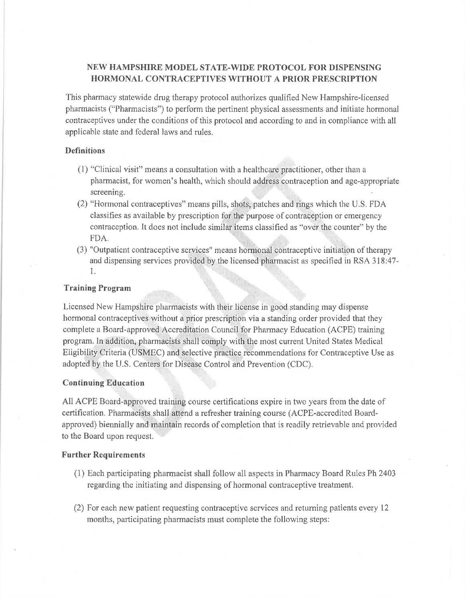### NEW HAMPSHIRE MODEL STATE-WIDE PROTOCOL FOR DISPENSING **HORMONAL CONTRACEPTIVES WITHOUT A PRIOR PRESCRIPTION**

This pharmacy statewide drug therapy protocol authorizes qualified New Hampshire-licensed pharmacists ("Pharmacists") to perform the pertinent physical assessments and initiate hormonal contraceptives under the conditions of this protocol and according to and in compliance with all applicable state and federal laws and rules.

#### **Definitions**

- (1) "Clinical visit" means a consultation with a healthcare practitioner, other than a pharmacist, for women's health, which should address contraception and age-appropriate screening.
- (2) "Hormonal contraceptives" means pills, shots, patches and rings which the U.S. FDA classifies as available by prescription for the purpose of contraception or emergency contraception. It does not include similar items classified as "over the counter" by the FDA.
- (3) "Outpatient contraceptive services" means hormonal contraceptive initiation of therapy and dispensing services provided by the licensed pharmacist as specified in RSA 318:47- $1.$

#### **Training Program**

Licensed New Hampshire pharmacists with their license in good standing may dispense hormonal contraceptives without a prior prescription via a standing order provided that they complete a Board-approved Accreditation Council for Pharmacy Education (ACPE) training program. In addition, pharmacists shall comply with the most current United States Medical Eligibility Criteria (USMEC) and selective practice recommendations for Contraceptive Use as adopted by the U.S. Centers for Disease Control and Prevention (CDC).

#### **Continuing Education**

All ACPE Board-approved training course certifications expire in two years from the date of certification. Pharmacists shall attend a refresher training course (ACPE-accredited Boardapproved) biennially and maintain records of completion that is readily retrievable and provided to the Board upon request.

#### **Further Requirements**

- (1) Each participating pharmacist shall follow all aspects in Pharmacy Board Rules Ph 2403 regarding the initiating and dispensing of hormonal contraceptive treatment.
- (2) For each new patient requesting contraceptive services and returning patients every 12 months, participating pharmacists must complete the following steps: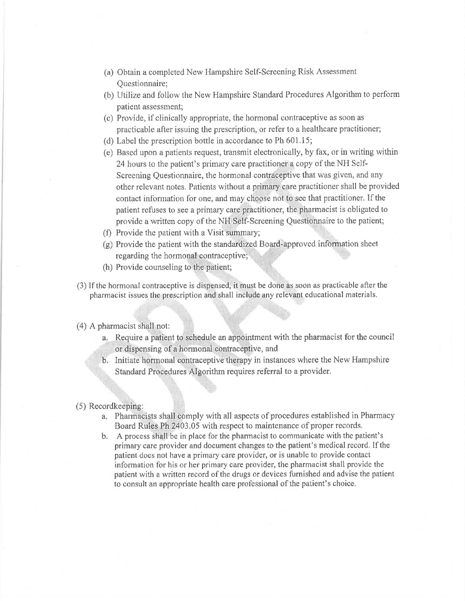- (a) Obtain a completed New Hampshire Self-Screening Risk Assessment Questionnaire;
- (b) Utilize and follow the New Hampshire Standard Procedures Algorithm to perform patient assessment:
- (c) Provide, if clinically appropriate, the hormonal contraceptive as soon as practicable after issuing the prescription, or refer to a healthcare practitioner;
- (d) Label the prescription bottle in accordance to Ph  $601.15$ ;
- (e) Based upon a patients request, transmit electronically, by fax, or in writing within 24 hours to the patient's primary care practitioner a copy of the NH Self-Screening Questionnaire, the hormonal contraceptive that was given, and any other relevant notes. Patients without a primary care practitioner shall be provided contact information for one, and may choose not to see that practitioner. If the patient refuses to see a primary care practitioner, the pharmacist is obligated to provide a written copy of the NH Self-Screening Questionnaire to the patient;
- (f) Provide the patient with a Visit summary;
- (g) Provide the patient with the standardized Board-approved information sheet regarding the hormonal contraceptive;
- (h) Provide counseling to the patient;
- (3) If the hormonal contraceptive is dispensed, it must be done as soon as practicable after the pharmacist issues the prescription and shall include any relevant educational materials.
- (4) A pharmacist shall not:
	- a. Require a patient to schedule an appointment with the pharmacist for the council or dispensing of a hormonal contraceptive, and
	- b. Initiate hormonal contraceptive therapy in instances where the New Hampshire Standard Procedures Algorithm requires referral to a provider.
- (5) Recordkeeping:
	- a. Pharmacists shall comply with all aspects of procedures established in Pharmacy Board Rules Ph 2403.05 with respect to maintenance of proper records.
	- b. A process shall be in place for the pharmacist to communicate with the patient's primary care provider and document changes to the patient's medical record. If the patient does not have a primary care provider, or is unable to provide contact information for his or her primary care provider, the pharmacist shall provide the patient with a written record of the drugs or devices furnished and advise the patient to consult an appropriate health care professional of the patient's choice.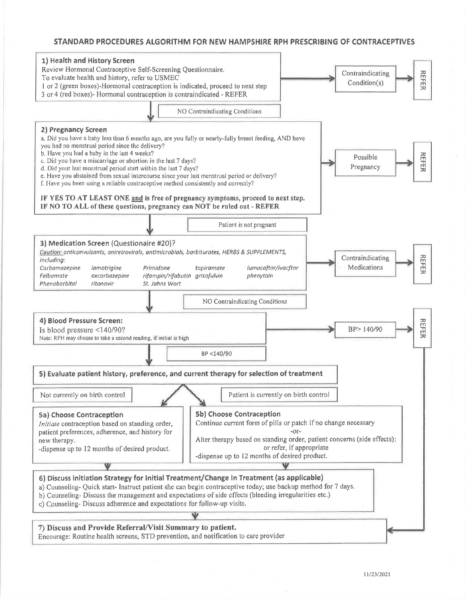#### STANDARD PROCEDURES ALGORITHM FOR NEW HAMPSHIRE RPH PRESCRIBING OF CONTRACEPTIVES